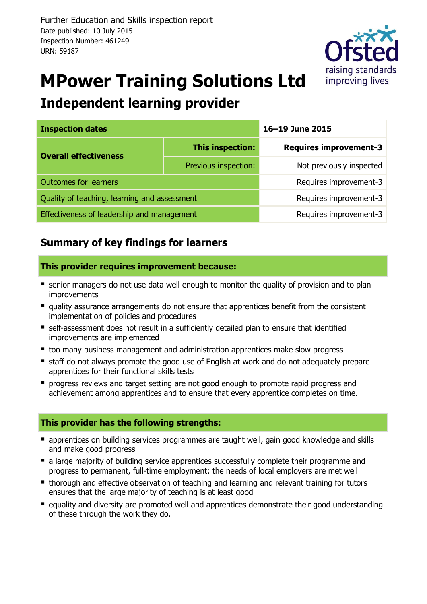

# **MPower Training Solutions Ltd**

## **Independent learning provider**

| <b>Inspection dates</b>                      |                        | 16-19 June 2015               |  |  |
|----------------------------------------------|------------------------|-------------------------------|--|--|
| <b>Overall effectiveness</b>                 | This inspection:       | <b>Requires improvement-3</b> |  |  |
|                                              | Previous inspection:   | Not previously inspected      |  |  |
| <b>Outcomes for learners</b>                 | Requires improvement-3 |                               |  |  |
| Quality of teaching, learning and assessment | Requires improvement-3 |                               |  |  |
| Effectiveness of leadership and management   | Requires improvement-3 |                               |  |  |

## **Summary of key findings for learners**

## **This provider requires improvement because:**

- **E** senior managers do not use data well enough to monitor the quality of provision and to plan improvements
- quality assurance arrangements do not ensure that apprentices benefit from the consistent implementation of policies and procedures
- self-assessment does not result in a sufficiently detailed plan to ensure that identified improvements are implemented
- too many business management and administration apprentices make slow progress
- **staff do not always promote the good use of English at work and do not adequately prepare** apprentices for their functional skills tests
- **P** progress reviews and target setting are not good enough to promote rapid progress and achievement among apprentices and to ensure that every apprentice completes on time.

### **This provider has the following strengths:**

- **•** apprentices on building services programmes are taught well, gain good knowledge and skills and make good progress
- a large majority of building service apprentices successfully complete their programme and progress to permanent, full-time employment: the needs of local employers are met well
- thorough and effective observation of teaching and learning and relevant training for tutors ensures that the large majority of teaching is at least good
- **E** equality and diversity are promoted well and apprentices demonstrate their good understanding of these through the work they do.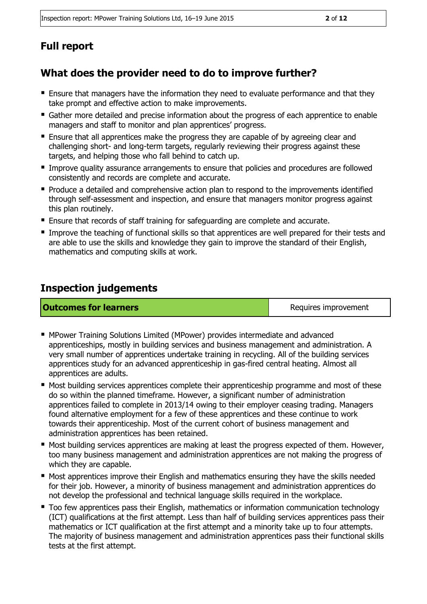## **Full report**

## **What does the provider need to do to improve further?**

- Ensure that managers have the information they need to evaluate performance and that they take prompt and effective action to make improvements.
- Gather more detailed and precise information about the progress of each apprentice to enable managers and staff to monitor and plan apprentices' progress.
- **Ensure that all apprentices make the progress they are capable of by agreeing clear and** challenging short- and long-term targets, regularly reviewing their progress against these targets, and helping those who fall behind to catch up.
- **Improve quality assurance arrangements to ensure that policies and procedures are followed** consistently and records are complete and accurate.
- Produce a detailed and comprehensive action plan to respond to the improvements identified through self-assessment and inspection, and ensure that managers monitor progress against this plan routinely.
- **Ensure that records of staff training for safeguarding are complete and accurate.**
- Improve the teaching of functional skills so that apprentices are well prepared for their tests and are able to use the skills and knowledge they gain to improve the standard of their English, mathematics and computing skills at work.

## **Inspection judgements**

**Outcomes for learners Requires improvement** 

- MPower Training Solutions Limited (MPower) provides intermediate and advanced apprenticeships, mostly in building services and business management and administration. A very small number of apprentices undertake training in recycling. All of the building services apprentices study for an advanced apprenticeship in gas-fired central heating. Almost all apprentices are adults.
- **Most building services apprentices complete their apprenticeship programme and most of these** do so within the planned timeframe. However, a significant number of administration apprentices failed to complete in 2013/14 owing to their employer ceasing trading. Managers found alternative employment for a few of these apprentices and these continue to work towards their apprenticeship. Most of the current cohort of business management and administration apprentices has been retained.
- **Most building services apprentices are making at least the progress expected of them. However,** too many business management and administration apprentices are not making the progress of which they are capable.
- **Most apprentices improve their English and mathematics ensuring they have the skills needed** for their job. However, a minority of business management and administration apprentices do not develop the professional and technical language skills required in the workplace.
- Too few apprentices pass their English, mathematics or information communication technology (ICT) qualifications at the first attempt. Less than half of building services apprentices pass their mathematics or ICT qualification at the first attempt and a minority take up to four attempts. The majority of business management and administration apprentices pass their functional skills tests at the first attempt.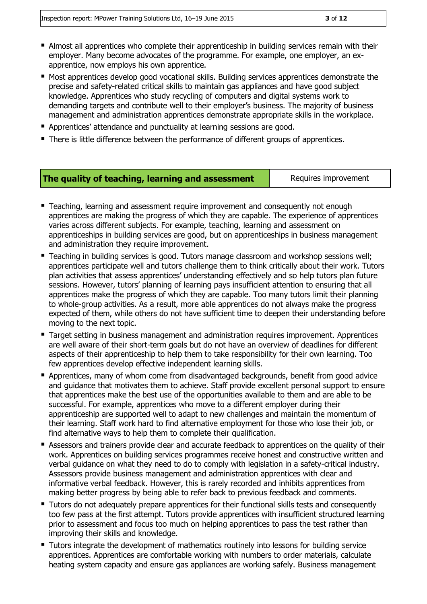- Almost all apprentices who complete their apprenticeship in building services remain with their employer. Many become advocates of the programme. For example, one employer, an exapprentice, now employs his own apprentice.
- Most apprentices develop good vocational skills. Building services apprentices demonstrate the precise and safety-related critical skills to maintain gas appliances and have good subject knowledge. Apprentices who study recycling of computers and digital systems work to demanding targets and contribute well to their employer's business. The majority of business management and administration apprentices demonstrate appropriate skills in the workplace.
- **Apprentices' attendance and punctuality at learning sessions are good.**
- There is little difference between the performance of different groups of apprentices.

### **The quality of teaching, learning and assessment** Requires improvement

- **Teaching, learning and assessment require improvement and consequently not enough** apprentices are making the progress of which they are capable. The experience of apprentices varies across different subjects. For example, teaching, learning and assessment on apprenticeships in building services are good, but on apprenticeships in business management and administration they require improvement.
- Teaching in building services is good. Tutors manage classroom and workshop sessions well; apprentices participate well and tutors challenge them to think critically about their work. Tutors plan activities that assess apprentices' understanding effectively and so help tutors plan future sessions. However, tutors' planning of learning pays insufficient attention to ensuring that all apprentices make the progress of which they are capable. Too many tutors limit their planning to whole-group activities. As a result, more able apprentices do not always make the progress expected of them, while others do not have sufficient time to deepen their understanding before moving to the next topic.
- Target setting in business management and administration requires improvement. Apprentices are well aware of their short-term goals but do not have an overview of deadlines for different aspects of their apprenticeship to help them to take responsibility for their own learning. Too few apprentices develop effective independent learning skills.
- **Apprentices, many of whom come from disadvantaged backgrounds, benefit from good advice** and guidance that motivates them to achieve. Staff provide excellent personal support to ensure that apprentices make the best use of the opportunities available to them and are able to be successful. For example, apprentices who move to a different employer during their apprenticeship are supported well to adapt to new challenges and maintain the momentum of their learning. Staff work hard to find alternative employment for those who lose their job, or find alternative ways to help them to complete their qualification.
- **E** Assessors and trainers provide clear and accurate feedback to apprentices on the quality of their work. Apprentices on building services programmes receive honest and constructive written and verbal guidance on what they need to do to comply with legislation in a safety-critical industry. Assessors provide business management and administration apprentices with clear and informative verbal feedback. However, this is rarely recorded and inhibits apprentices from making better progress by being able to refer back to previous feedback and comments.
- **Tutors do not adequately prepare apprentices for their functional skills tests and consequently** too few pass at the first attempt. Tutors provide apprentices with insufficient structured learning prior to assessment and focus too much on helping apprentices to pass the test rather than improving their skills and knowledge.
- Tutors integrate the development of mathematics routinely into lessons for building service apprentices. Apprentices are comfortable working with numbers to order materials, calculate heating system capacity and ensure gas appliances are working safely. Business management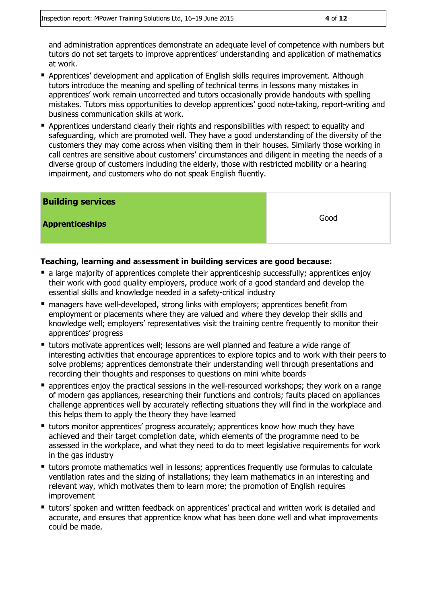and administration apprentices demonstrate an adequate level of competence with numbers but tutors do not set targets to improve apprentices' understanding and application of mathematics at work.

- Apprentices' development and application of English skills requires improvement. Although tutors introduce the meaning and spelling of technical terms in lessons many mistakes in apprentices' work remain uncorrected and tutors occasionally provide handouts with spelling mistakes. Tutors miss opportunities to develop apprentices' good note-taking, report-writing and business communication skills at work.
- **Apprentices understand clearly their rights and responsibilities with respect to equality and** safeguarding, which are promoted well. They have a good understanding of the diversity of the customers they may come across when visiting them in their houses. Similarly those working in call centres are sensitive about customers' circumstances and diligent in meeting the needs of a diverse group of customers including the elderly, those with restricted mobility or a hearing impairment, and customers who do not speak English fluently.

| <b>Building services</b> |      |
|--------------------------|------|
| <b>Apprenticeships</b>   | Good |

### **Teaching, learning and a**s**sessment in building services are good because:**

- **a large majority of apprentices complete their apprenticeship successfully; apprentices enjoy** their work with good quality employers, produce work of a good standard and develop the essential skills and knowledge needed in a safety-critical industry
- managers have well-developed, strong links with employers; apprentices benefit from employment or placements where they are valued and where they develop their skills and knowledge well; employers' representatives visit the training centre frequently to monitor their apprentices' progress
- tutors motivate apprentices well; lessons are well planned and feature a wide range of interesting activities that encourage apprentices to explore topics and to work with their peers to solve problems; apprentices demonstrate their understanding well through presentations and recording their thoughts and responses to questions on mini white boards
- **E** apprentices enjoy the practical sessions in the well-resourced workshops; they work on a range of modern gas appliances, researching their functions and controls; faults placed on appliances challenge apprentices well by accurately reflecting situations they will find in the workplace and this helps them to apply the theory they have learned
- tutors monitor apprentices' progress accurately; apprentices know how much they have achieved and their target completion date, which elements of the programme need to be assessed in the workplace, and what they need to do to meet legislative requirements for work in the gas industry
- **tutors promote mathematics well in lessons; apprentices frequently use formulas to calculate** ventilation rates and the sizing of installations; they learn mathematics in an interesting and relevant way, which motivates them to learn more; the promotion of English requires improvement
- **tutors' spoken and written feedback on apprentices' practical and written work is detailed and** accurate, and ensures that apprentice know what has been done well and what improvements could be made.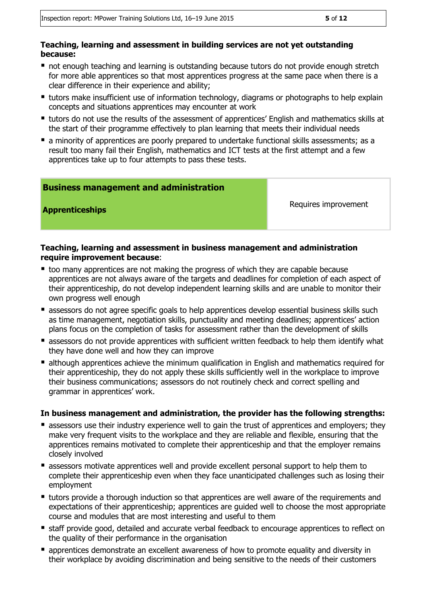### **Teaching, learning and assessment in building services are not yet outstanding because:**

- not enough teaching and learning is outstanding because tutors do not provide enough stretch for more able apprentices so that most apprentices progress at the same pace when there is a clear difference in their experience and ability;
- **tutors make insufficient use of information technology, diagrams or photographs to help explain** concepts and situations apprentices may encounter at work
- tutors do not use the results of the assessment of apprentices' English and mathematics skills at the start of their programme effectively to plan learning that meets their individual needs
- **E** a minority of apprentices are poorly prepared to undertake functional skills assessments; as a result too many fail their English, mathematics and ICT tests at the first attempt and a few apprentices take up to four attempts to pass these tests.

### **Business management and administration**

**Apprenticeships Requires improvement** 

### **Teaching, learning and assessment in business management and administration require improvement because**:

- too many apprentices are not making the progress of which they are capable because apprentices are not always aware of the targets and deadlines for completion of each aspect of their apprenticeship, do not develop independent learning skills and are unable to monitor their own progress well enough
- **E** assessors do not agree specific goals to help apprentices develop essential business skills such as time management, negotiation skills, punctuality and meeting deadlines; apprentices' action plans focus on the completion of tasks for assessment rather than the development of skills
- **E** assessors do not provide apprentices with sufficient written feedback to help them identify what they have done well and how they can improve
- **E** although apprentices achieve the minimum qualification in English and mathematics required for their apprenticeship, they do not apply these skills sufficiently well in the workplace to improve their business communications; assessors do not routinely check and correct spelling and grammar in apprentices' work.

### **In business management and administration, the provider has the following strengths:**

- **E** assessors use their industry experience well to gain the trust of apprentices and employers; they make very frequent visits to the workplace and they are reliable and flexible, ensuring that the apprentices remains motivated to complete their apprenticeship and that the employer remains closely involved
- **E** assessors motivate apprentices well and provide excellent personal support to help them to complete their apprenticeship even when they face unanticipated challenges such as losing their employment
- **tutors provide a thorough induction so that apprentices are well aware of the requirements and** expectations of their apprenticeship; apprentices are guided well to choose the most appropriate course and modules that are most interesting and useful to them
- **staff provide good, detailed and accurate verbal feedback to encourage apprentices to reflect on** the quality of their performance in the organisation
- **E** apprentices demonstrate an excellent awareness of how to promote equality and diversity in their workplace by avoiding discrimination and being sensitive to the needs of their customers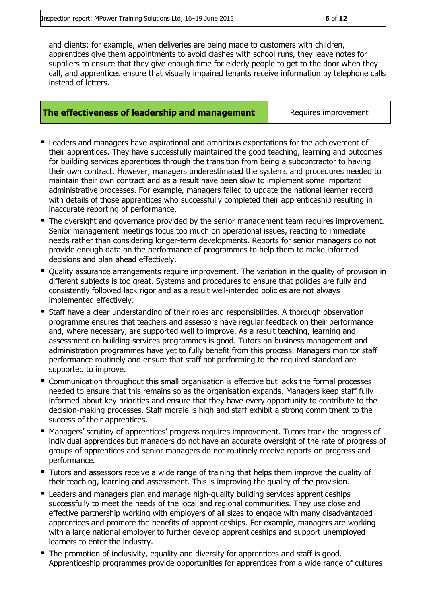and clients; for example, when deliveries are being made to customers with children, apprentices give them appointments to avoid clashes with school runs, they leave notes for suppliers to ensure that they give enough time for elderly people to get to the door when they call, and apprentices ensure that visually impaired tenants receive information by telephone calls instead of letters.

### **The effectiveness of leadership and management** Requires improvement

- Leaders and managers have aspirational and ambitious expectations for the achievement of their apprentices. They have successfully maintained the good teaching, learning and outcomes for building services apprentices through the transition from being a subcontractor to having their own contract. However, managers underestimated the systems and procedures needed to maintain their own contract and as a result have been slow to implement some important administrative processes. For example, managers failed to update the national learner record with details of those apprentices who successfully completed their apprenticeship resulting in inaccurate reporting of performance.
- The oversight and governance provided by the senior management team requires improvement. Senior management meetings focus too much on operational issues, reacting to immediate needs rather than considering longer-term developments. Reports for senior managers do not provide enough data on the performance of programmes to help them to make informed decisions and plan ahead effectively.
- Quality assurance arrangements require improvement. The variation in the quality of provision in different subjects is too great. Systems and procedures to ensure that policies are fully and consistently followed lack rigor and as a result well-intended policies are not always implemented effectively.
- **Staff have a clear understanding of their roles and responsibilities. A thorough observation** programme ensures that teachers and assessors have regular feedback on their performance and, where necessary, are supported well to improve. As a result teaching, learning and assessment on building services programmes is good. Tutors on business management and administration programmes have yet to fully benefit from this process. Managers monitor staff performance routinely and ensure that staff not performing to the required standard are supported to improve.
- Communication throughout this small organisation is effective but lacks the formal processes needed to ensure that this remains so as the organisation expands. Managers keep staff fully informed about key priorities and ensure that they have every opportunity to contribute to the decision-making processes. Staff morale is high and staff exhibit a strong commitment to the success of their apprentices.
- Managers' scrutiny of apprentices' progress requires improvement. Tutors track the progress of individual apprentices but managers do not have an accurate oversight of the rate of progress of groups of apprentices and senior managers do not routinely receive reports on progress and performance.
- **Tutors and assessors receive a wide range of training that helps them improve the quality of** their teaching, learning and assessment. This is improving the quality of the provision.
- **E** Leaders and managers plan and manage high-quality building services apprenticeships successfully to meet the needs of the local and regional communities. They use close and effective partnership working with employers of all sizes to engage with many disadvantaged apprentices and promote the benefits of apprenticeships. For example, managers are working with a large national employer to further develop apprenticeships and support unemployed learners to enter the industry.
- The promotion of inclusivity, equality and diversity for apprentices and staff is good. Apprenticeship programmes provide opportunities for apprentices from a wide range of cultures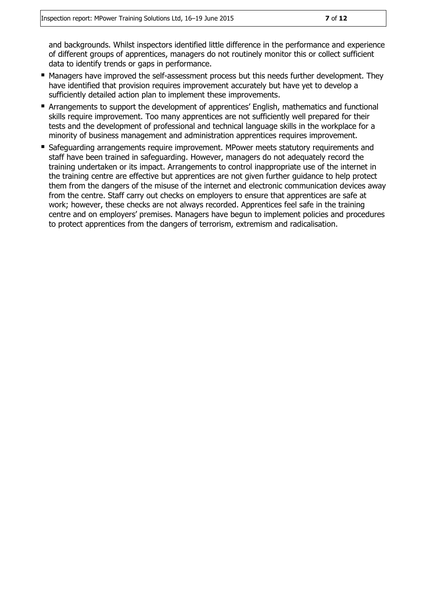and backgrounds. Whilst inspectors identified little difference in the performance and experience of different groups of apprentices, managers do not routinely monitor this or collect sufficient data to identify trends or gaps in performance.

- **Managers have improved the self-assessment process but this needs further development. They** have identified that provision requires improvement accurately but have yet to develop a sufficiently detailed action plan to implement these improvements.
- Arrangements to support the development of apprentices' English, mathematics and functional skills require improvement. Too many apprentices are not sufficiently well prepared for their tests and the development of professional and technical language skills in the workplace for a minority of business management and administration apprentices requires improvement.
- Safeguarding arrangements require improvement. MPower meets statutory requirements and staff have been trained in safeguarding. However, managers do not adequately record the training undertaken or its impact. Arrangements to control inappropriate use of the internet in the training centre are effective but apprentices are not given further guidance to help protect them from the dangers of the misuse of the internet and electronic communication devices away from the centre. Staff carry out checks on employers to ensure that apprentices are safe at work; however, these checks are not always recorded. Apprentices feel safe in the training centre and on employers' premises. Managers have begun to implement policies and procedures to protect apprentices from the dangers of terrorism, extremism and radicalisation.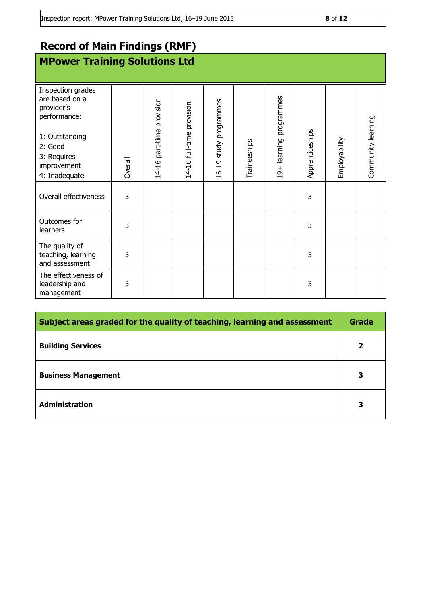## **Record of Main Findings (RMF)**

## **MPower Training Solutions Ltd**

| Inspection grades<br>are based on a<br>provider's<br>performance:<br>1: Outstanding<br>2: Good |         | 14-16 part-time provision | 14-16 full-time provision | 16-19 study programmes |              | 19+ learning programmes |                 |               | Community learning |
|------------------------------------------------------------------------------------------------|---------|---------------------------|---------------------------|------------------------|--------------|-------------------------|-----------------|---------------|--------------------|
| 3: Requires<br>improvement<br>4: Inadequate                                                    | Overall |                           |                           |                        | Traineeships |                         | Apprenticeships | Employability |                    |
| Overall effectiveness                                                                          | 3       |                           |                           |                        |              |                         | 3               |               |                    |
| Outcomes for<br>learners                                                                       | 3       |                           |                           |                        |              |                         | 3               |               |                    |
| The quality of<br>teaching, learning<br>and assessment                                         | 3       |                           |                           |                        |              |                         | 3               |               |                    |
| The effectiveness of<br>leadership and<br>management                                           | 3       |                           |                           |                        |              |                         | 3               |               |                    |

| Subject areas graded for the quality of teaching, learning and assessment |              |
|---------------------------------------------------------------------------|--------------|
| <b>Building Services</b>                                                  | $\mathbf{2}$ |
| <b>Business Management</b>                                                | 3            |
| <b>Administration</b>                                                     | З            |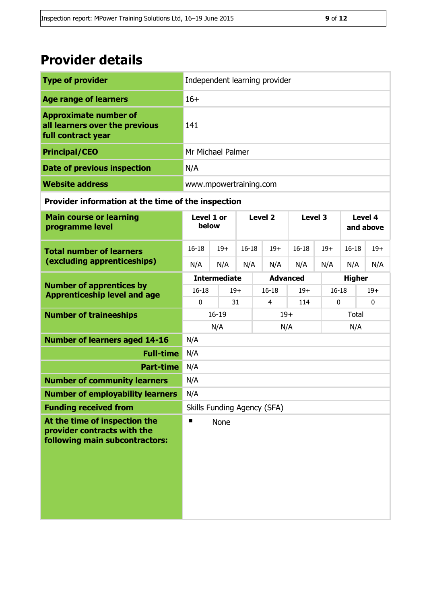## **Provider details**

| <b>Type of provider</b>                                                                        | Independent learning provider |                     |                    |                    |           |             |                      |              |
|------------------------------------------------------------------------------------------------|-------------------------------|---------------------|--------------------|--------------------|-----------|-------------|----------------------|--------------|
| <b>Age range of learners</b>                                                                   | $16+$                         |                     |                    |                    |           |             |                      |              |
| <b>Approximate number of</b><br>all learners over the previous<br>full contract year           | 141                           |                     |                    |                    |           |             |                      |              |
| <b>Principal/CEO</b>                                                                           | Mr Michael Palmer             |                     |                    |                    |           |             |                      |              |
| <b>Date of previous inspection</b>                                                             | N/A                           |                     |                    |                    |           |             |                      |              |
| <b>Website address</b>                                                                         | www.mpowertraining.com        |                     |                    |                    |           |             |                      |              |
| Provider information at the time of the inspection                                             |                               |                     |                    |                    |           |             |                      |              |
| <b>Main course or learning</b><br>programme level                                              | Level 1 or<br>below           |                     |                    | Level <sub>2</sub> | Level 3   |             | Level 4<br>and above |              |
| <b>Total number of learners</b>                                                                | $16 - 18$                     | $19+$               | $16 - 18$          | $19+$              | $16 - 18$ | $19+$       | $16 - 18$            | $19+$        |
| (excluding apprenticeships)                                                                    | N/A                           | N/A                 | N/A                | N/A                | N/A       | N/A         | N/A                  | N/A          |
|                                                                                                |                               | <b>Intermediate</b> |                    | <b>Advanced</b>    |           |             | <b>Higher</b>        |              |
| <b>Number of apprentices by</b><br><b>Apprenticeship level and age</b>                         | $16 - 18$                     |                     | $16 - 18$<br>$19+$ |                    | $19+$     | $16 - 18$   |                      | $19+$        |
|                                                                                                | $\mathbf{0}$<br>31<br>4       |                     |                    |                    | 114       | $\mathbf 0$ |                      | $\mathbf{0}$ |
| <b>Number of traineeships</b>                                                                  | $16 - 19$<br>$19+$            |                     |                    |                    | Total     |             |                      |              |
| <b>Number of learners aged 14-16</b>                                                           | N/A<br>N/A<br>N/A<br>N/A      |                     |                    |                    |           |             |                      |              |
| <b>Full-time</b>                                                                               | N/A                           |                     |                    |                    |           |             |                      |              |
| <b>Part-time</b>                                                                               | N/A                           |                     |                    |                    |           |             |                      |              |
| <b>Number of community learners</b>                                                            | N/A                           |                     |                    |                    |           |             |                      |              |
| <b>Number of employability learners</b>                                                        | N/A                           |                     |                    |                    |           |             |                      |              |
| <b>Funding received from</b>                                                                   | Skills Funding Agency (SFA)   |                     |                    |                    |           |             |                      |              |
| At the time of inspection the<br>provider contracts with the<br>following main subcontractors: | ■                             | None                |                    |                    |           |             |                      |              |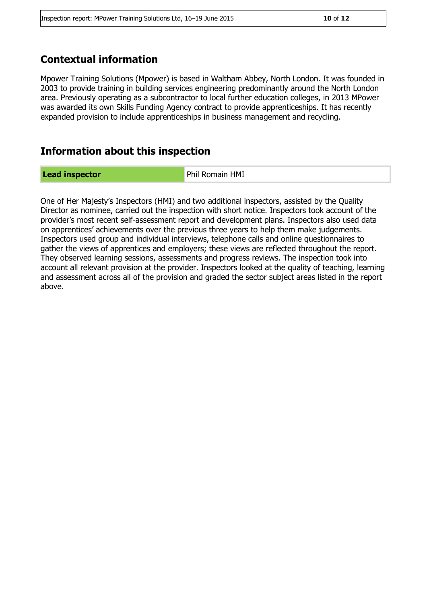## **Contextual information**

Mpower Training Solutions (Mpower) is based in Waltham Abbey, North London. It was founded in 2003 to provide training in building services engineering predominantly around the North London area. Previously operating as a subcontractor to local further education colleges, in 2013 MPower was awarded its own Skills Funding Agency contract to provide apprenticeships. It has recently expanded provision to include apprenticeships in business management and recycling.

## **Information about this inspection**

**Lead inspector Example 20 AMI** Phil Romain HMI

One of Her Majesty's Inspectors (HMI) and two additional inspectors, assisted by the Quality Director as nominee, carried out the inspection with short notice. Inspectors took account of the provider's most recent self-assessment report and development plans. Inspectors also used data on apprentices' achievements over the previous three years to help them make judgements. Inspectors used group and individual interviews, telephone calls and online questionnaires to gather the views of apprentices and employers; these views are reflected throughout the report. They observed learning sessions, assessments and progress reviews. The inspection took into account all relevant provision at the provider. Inspectors looked at the quality of teaching, learning and assessment across all of the provision and graded the sector subject areas listed in the report above.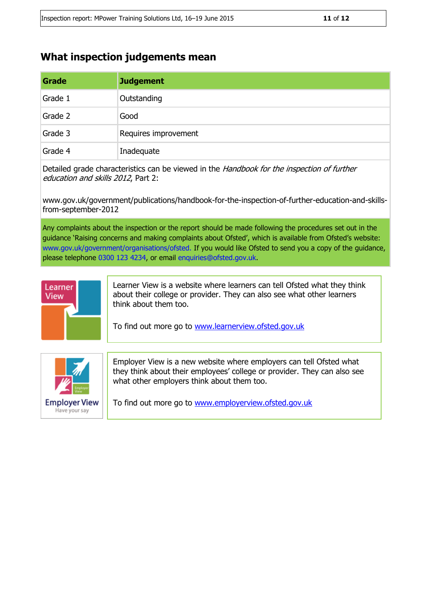## **What inspection judgements mean**

| Grade   | <b>Judgement</b>     |
|---------|----------------------|
| Grade 1 | Outstanding          |
| Grade 2 | Good                 |
| Grade 3 | Requires improvement |
| Grade 4 | Inadequate           |

Detailed grade characteristics can be viewed in the *Handbook for the inspection of further* education and skills 2012, Part 2:

www.gov.uk/government/publications/handbook-for-the-inspection-of-further-education-and-skillsfrom-september-2012

Any complaints about the inspection or the report should be made following the procedures set out in the guidance 'Raising concerns and making complaints about Ofsted', which is available from Ofsted's website: www.gov.uk/government/organisations/ofsted. If you would like Ofsted to send you a copy of the guidance, please telephone 0300 123 4234, or email enquiries@ofsted.gov.uk.



Learner View is a website where learners can tell Ofsted what they think about their college or provider. They can also see what other learners think about them too.

To find out more go to [www.learnerview.ofsted.gov.uk](http://www.learnerview.ofsted.gov.uk/)



Employer View is a new website where employers can tell Ofsted what they think about their employees' college or provider. They can also see what other employers think about them too.

To find out more go to [www.employerview.ofsted.gov.uk](http://www.employerview.ofsted.gov.uk/)